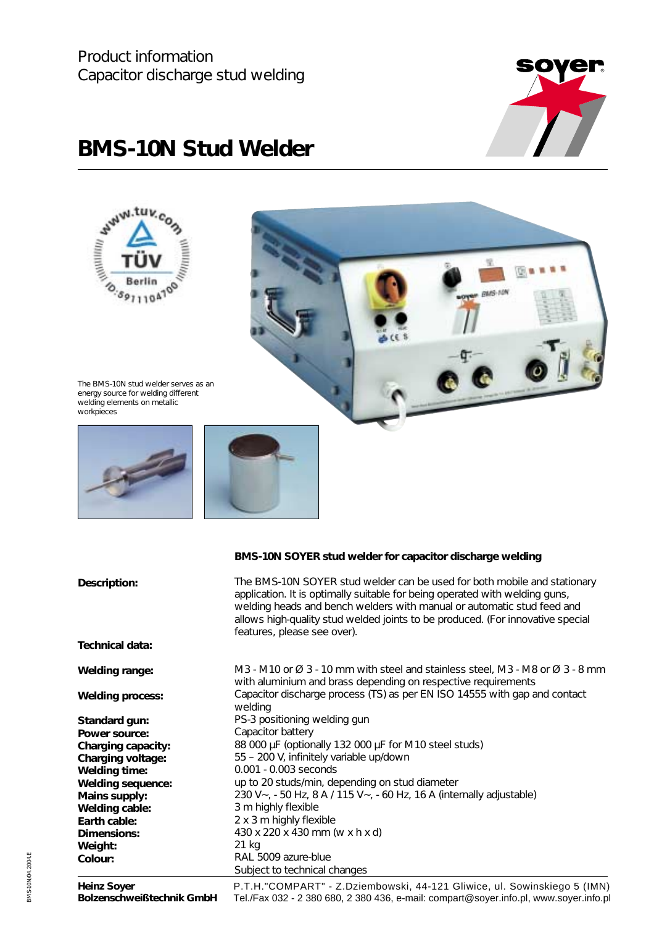

## **BMS-10N Stud Welder**



| Description:             | The BMS-10N SOYER stud welder can be used for both mobile and stationary<br>application. It is optimally suitable for being operated with welding guns,<br>welding heads and bench welders with manual or automatic stud feed and<br>allows high-quality stud welded joints to be produced. (For innovative special<br>features, please see over). |
|--------------------------|----------------------------------------------------------------------------------------------------------------------------------------------------------------------------------------------------------------------------------------------------------------------------------------------------------------------------------------------------|
| Technical data:          |                                                                                                                                                                                                                                                                                                                                                    |
| <b>Welding range:</b>    | M3 - M10 or $\varnothing$ 3 - 10 mm with steel and stainless steel, M3 - M8 or $\varnothing$ 3 - 8 mm<br>with aluminium and brass depending on respective requirements                                                                                                                                                                             |
| <b>Welding process:</b>  | Capacitor discharge process (TS) as per EN ISO 14555 with gap and contact<br>welding                                                                                                                                                                                                                                                               |
| Standard gun:            | PS-3 positioning welding gun                                                                                                                                                                                                                                                                                                                       |
| Power source:            | Capacitor battery                                                                                                                                                                                                                                                                                                                                  |
| Charging capacity:       | 88 000 µF (optionally 132 000 µF for M10 steel studs)                                                                                                                                                                                                                                                                                              |
| Charging voltage:        | 55 - 200 V, infinitely variable up/down                                                                                                                                                                                                                                                                                                            |
| <b>Welding time:</b>     | 0.001 - 0.003 seconds                                                                                                                                                                                                                                                                                                                              |
| <b>Welding sequence:</b> | up to 20 studs/min, depending on stud diameter                                                                                                                                                                                                                                                                                                     |
| Mains supply:            | 230 V ~, - 50 Hz, 8 A / 115 V ~, - 60 Hz, 16 A (internally adjustable)                                                                                                                                                                                                                                                                             |
| Welding cable:           | 3 m highly flexible                                                                                                                                                                                                                                                                                                                                |
| Earth cable:             | 2 x 3 m highly flexible                                                                                                                                                                                                                                                                                                                            |
| Dimensions:              | 430 x 220 x 430 mm (w x h x d)                                                                                                                                                                                                                                                                                                                     |
| Weight:                  | 21 kg                                                                                                                                                                                                                                                                                                                                              |
| Colour:                  | RAL 5009 azure-blue                                                                                                                                                                                                                                                                                                                                |
|                          | Subject to technical changes                                                                                                                                                                                                                                                                                                                       |
|                          | $\mathbf{r}$ . The set of the set of the set of the set of the set of the set of the set of the set of the set of the set of the set of the set of the set of the set of the set of the set of the set of the set of the set of t                                                                                                                  |

**Heinz Soyer Bolzenschweißtechnik GmbH**

P.T.H."COMPART" - Z.Dziembowski, 44-121 Gliwice, ul. Sowinskiego 5 (IMN) Tel./Fax 032 - 2 380 680, 2 380 436, e-mail: compart@soyer.info.pl, www.soyer.info.pl

BMS-10N/04.2004.E BMS-10N/04.2004.E